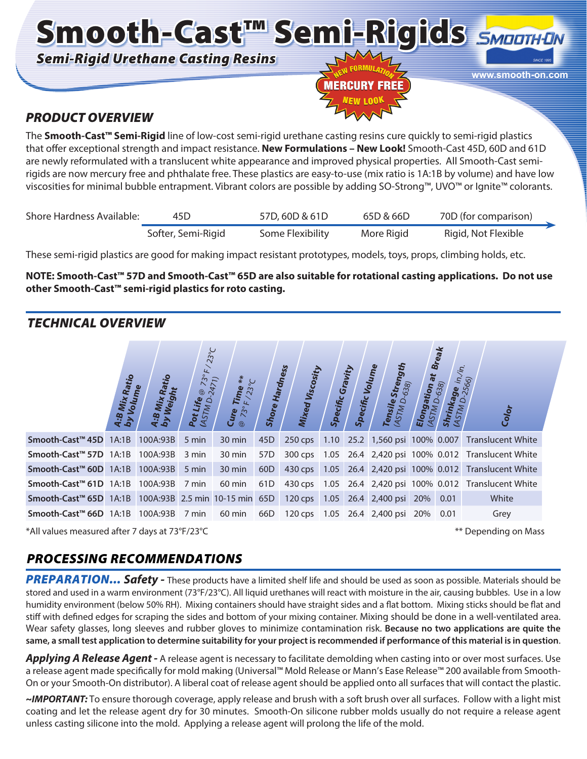Smooth-Cast™ Semi-Rigids SMOOTHUN *Semi-Rigid Urethane Casting Resins*



**www.smooth-on.com**

### *PRODUCT OVERVIEW*

The **Smooth-Cast™ Semi-Rigid** line of low-cost semi-rigid urethane casting resins cure quickly to semi-rigid plastics that offer exceptional strength and impact resistance. **New Formulations – New Look!** Smooth-Cast 45D, 60D and 61D are newly reformulated with a translucent white appearance and improved physical properties. All Smooth-Cast semirigids are now mercury free and phthalate free. These plastics are easy-to-use (mix ratio is 1A:1B by volume) and have low viscosities for minimal bubble entrapment. Vibrant colors are possible by adding SO-Strong™, UVO™ or Ignite™ colorants.

| Shore Hardness Available: | 45D                | 57D, 60D & 61D   | 65D & 66D  | 70D (for comparison) |  |
|---------------------------|--------------------|------------------|------------|----------------------|--|
|                           | Softer, Semi-Rigid | Some Flexibility | More Rigid | Rigid, Not Flexible  |  |

These semi-rigid plastics are good for making impact resistant prototypes, models, toys, props, climbing holds, etc.

#### **NOTE: Smooth-Cast™ 57D and Smooth-Cast™ 65D are also suitable for rotational casting applications. Do not use other Smooth-Cast™ semi-rigid plastics for roto casting.**

### *TECHNICAL OVERVIEW*

|                                                                        | A:B Mix Ratio<br>by Voluma<br>Volume <sup>'</sup> | Weight<br>Mix<br>$rac{3}{4.8}$ | $23^{\circ}C$<br>4<br>2 <sup>o</sup><br>Pot Life @ 73°<br>(ASTM D-2471) | $*$<br>$\frac{\mathbf{G}_{\boldsymbol{U}\boldsymbol{r}}\mathbf{e}}{\mathop{\mathscr{D}}\nolimits_{\mathscr{F}\Sigma^o}F/23^\circ\mathcal{C}}$ | Shore           | <b>Hardness</b><br><b>Mixed Viscosity</b> | <b>Specific Gravity</b> | <b>Specific Volume</b> | Strength<br>Tensile Stren<br>(ASTM D-638) | Elongation at | <b>Break</b><br><b>Irinkage</b> in <sub>/in.</sub><br>ISTM D-2566)<br>638)<br>STM<br>s <sub>h</sub> | Color                                                    |
|------------------------------------------------------------------------|---------------------------------------------------|--------------------------------|-------------------------------------------------------------------------|-----------------------------------------------------------------------------------------------------------------------------------------------|-----------------|-------------------------------------------|-------------------------|------------------------|-------------------------------------------|---------------|-----------------------------------------------------------------------------------------------------|----------------------------------------------------------|
| Smooth-Cast <sup>™</sup> 45D                                           | 1A:1B                                             | 100A:93B                       | 5 min                                                                   | 30 min                                                                                                                                        | 45 <sub>D</sub> | 250 cps 1.10                              |                         |                        |                                           |               |                                                                                                     | 25.2 1,560 psi 100% 0.007 Translucent White              |
| Smooth-Cast <sup>™</sup> 57D 1A:1B                                     |                                                   | 100A:93B                       | 3 min                                                                   | 30 min                                                                                                                                        | 57D             |                                           |                         |                        |                                           |               |                                                                                                     | 300 cps 1.05 26.4 2,420 psi 100% 0.012 Translucent White |
| Smooth-Cast <sup>™</sup> 60D 1A:1B                                     |                                                   | 100A:93B                       | 5 min                                                                   | $30 \text{ min}$                                                                                                                              | 60 <sub>D</sub> |                                           |                         |                        |                                           |               |                                                                                                     | 430 cps 1.05 26.4 2,420 psi 100% 0.012 Translucent White |
| Smooth-Cast <sup>™</sup> 61D 1A:1B 100A:93B                            |                                                   |                                | 7 min                                                                   | 60 min                                                                                                                                        | 61D             |                                           |                         |                        |                                           |               |                                                                                                     | 430 cps 1.05 26.4 2,420 psi 100% 0.012 Translucent White |
| Smooth-Cast <sup>™</sup> 65D 1A:1B 100A:93B 2.5 min 10-15 min 65D      |                                                   |                                |                                                                         |                                                                                                                                               |                 |                                           |                         |                        | 120 cps 1.05 26.4 2,400 psi 20% 0.01      |               |                                                                                                     | White                                                    |
| Smooth-Cast <sup>™</sup> 66D 1A:1B 100A:93B                            |                                                   |                                |                                                                         | 7 min 60 min                                                                                                                                  |                 |                                           |                         |                        | 66D 120 cps 1.05 26.4 2,400 psi 20% 0.01  |               |                                                                                                     | Grey                                                     |
| *All values measured after 7 days at 73°F/23°C<br>** Depending on Mass |                                                   |                                |                                                                         |                                                                                                                                               |                 |                                           |                         |                        |                                           |               |                                                                                                     |                                                          |

### *PROCESSING RECOMMENDATIONS*

**PREPARATION... Safety -** These products have a limited shelf life and should be used as soon as possible. Materials should be stored and used in a warm environment (73°F/23°C). All liquid urethanes will react with moisture in the air, causing bubbles. Use in a low humidity environment (below 50% RH). Mixing containers should have straight sides and a flat bottom. Mixing sticks should be flat and stiff with defined edges for scraping the sides and bottom of your mixing container. Mixing should be done in a well-ventilated area. Wear safety glasses, long sleeves and rubber gloves to minimize contamination risk. **Because no two applications are quite the same, a small test application to determine suitability for your project is recommended if performance of this material is in question**.

Applying A Release Agent - A release agent is necessary to facilitate demolding when casting into or over most surfaces. Use a release agent made specifically for mold making (Universal™ Mold Release or Mann's Ease Release™ 200 available from Smooth-On or your Smooth-On distributor). A liberal coat of release agent should be applied onto all surfaces that will contact the plastic.

*~IMPORTANT:* To ensure thorough coverage, apply release and brush with a soft brush over all surfaces. Follow with a light mist coating and let the release agent dry for 30 minutes. Smooth-On silicone rubber molds usually do not require a release agent unless casting silicone into the mold. Applying a release agent will prolong the life of the mold.